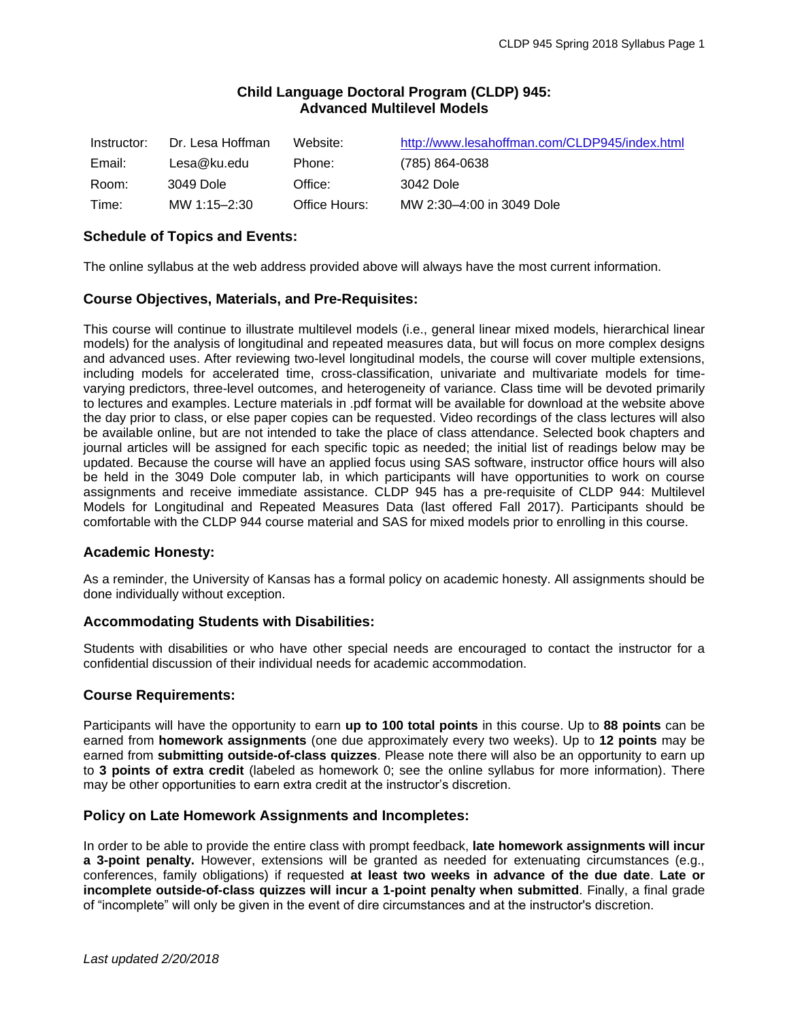# **Child Language Doctoral Program (CLDP) 945: Advanced Multilevel Models**

| Instructor: | Dr. Lesa Hoffman | Website:      | http://www.lesahoffman.com/CLDP945/index.html |
|-------------|------------------|---------------|-----------------------------------------------|
| Email:      | Lesa@ku.edu      | Phone:        | (785) 864-0638                                |
| Room:       | 3049 Dole        | Office:       | 3042 Dole                                     |
| Time:       | MW 1:15-2:30     | Office Hours: | MW 2:30-4:00 in 3049 Dole                     |

# **Schedule of Topics and Events:**

The online syllabus at the web address provided above will always have the most current information.

## **Course Objectives, Materials, and Pre-Requisites:**

This course will continue to illustrate multilevel models (i.e., general linear mixed models, hierarchical linear models) for the analysis of longitudinal and repeated measures data, but will focus on more complex designs and advanced uses. After reviewing two-level longitudinal models, the course will cover multiple extensions, including models for accelerated time, cross-classification, univariate and multivariate models for timevarying predictors, three-level outcomes, and heterogeneity of variance. Class time will be devoted primarily to lectures and examples. Lecture materials in .pdf format will be available for download at the website above the day prior to class, or else paper copies can be requested. Video recordings of the class lectures will also be available online, but are not intended to take the place of class attendance. Selected book chapters and journal articles will be assigned for each specific topic as needed; the initial list of readings below may be updated. Because the course will have an applied focus using SAS software, instructor office hours will also be held in the 3049 Dole computer lab, in which participants will have opportunities to work on course assignments and receive immediate assistance. CLDP 945 has a pre-requisite of CLDP 944: Multilevel Models for Longitudinal and Repeated Measures Data (last offered Fall 2017). Participants should be comfortable with the CLDP 944 course material and SAS for mixed models prior to enrolling in this course.

## **Academic Honesty:**

As a reminder, the University of Kansas has a formal policy on academic honesty. All assignments should be done individually without exception.

## **Accommodating Students with Disabilities:**

Students with disabilities or who have other special needs are encouraged to contact the instructor for a confidential discussion of their individual needs for academic accommodation.

## **Course Requirements:**

Participants will have the opportunity to earn **up to 100 total points** in this course. Up to **88 points** can be earned from **homework assignments** (one due approximately every two weeks). Up to **12 points** may be earned from **submitting outside-of-class quizzes**. Please note there will also be an opportunity to earn up to **3 points of extra credit** (labeled as homework 0; see the online syllabus for more information). There may be other opportunities to earn extra credit at the instructor's discretion.

#### **Policy on Late Homework Assignments and Incompletes:**

In order to be able to provide the entire class with prompt feedback, **late homework assignments will incur a 3-point penalty.** However, extensions will be granted as needed for extenuating circumstances (e.g., conferences, family obligations) if requested **at least two weeks in advance of the due date**. **Late or incomplete outside-of-class quizzes will incur a 1-point penalty when submitted**. Finally, a final grade of "incomplete" will only be given in the event of dire circumstances and at the instructor's discretion.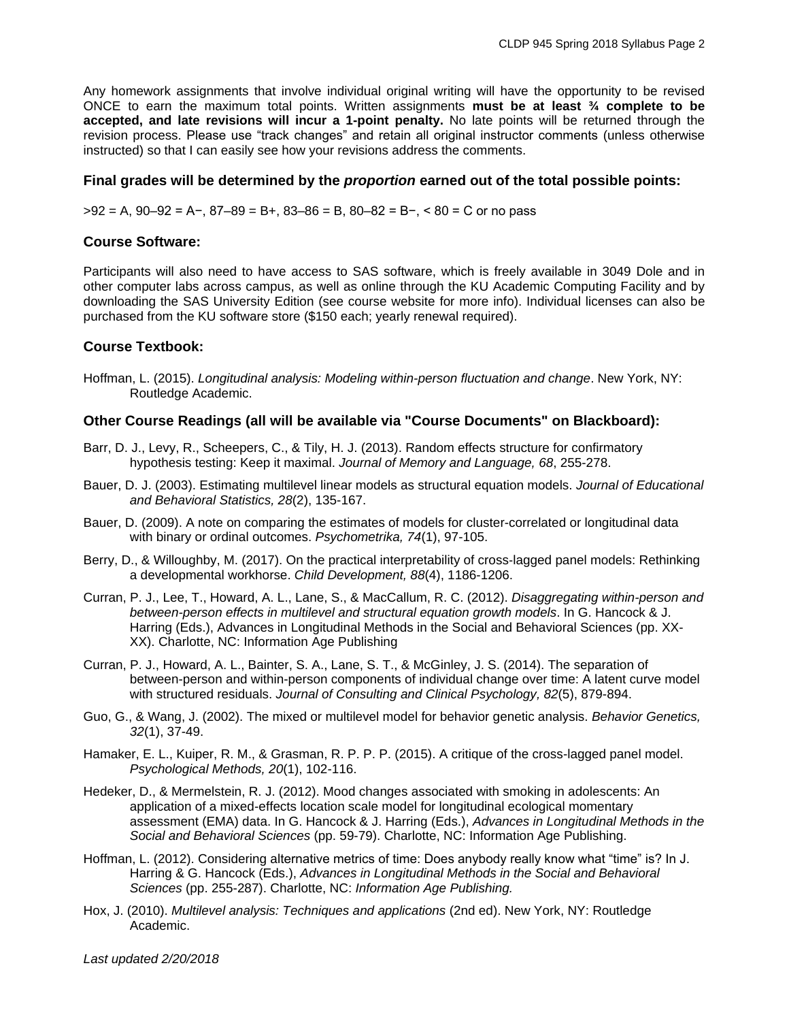Any homework assignments that involve individual original writing will have the opportunity to be revised ONCE to earn the maximum total points. Written assignments **must be at least ¾ complete to be accepted, and late revisions will incur a 1-point penalty.** No late points will be returned through the revision process. Please use "track changes" and retain all original instructor comments (unless otherwise instructed) so that I can easily see how your revisions address the comments.

### **Final grades will be determined by the** *proportion* **earned out of the total possible points:**

>92 = A, 90–92 = A−, 87–89 = B+, 83–86 = B, 80–82 = B−, < 80 = C or no pass

### **Course Software:**

Participants will also need to have access to SAS software, which is freely available in 3049 Dole and in other computer labs across campus, as well as online through the KU Academic Computing Facility and by downloading the SAS University Edition (see course website for more info). Individual licenses can also be purchased from the KU software store (\$150 each; yearly renewal required).

## **Course Textbook:**

Hoffman, L. (2015). *Longitudinal analysis: Modeling within-person fluctuation and change*. New York, NY: Routledge Academic.

### **Other Course Readings (all will be available via "Course Documents" on Blackboard):**

- Barr, D. J., Levy, R., Scheepers, C., & Tily, H. J. (2013). Random effects structure for confirmatory hypothesis testing: Keep it maximal. *Journal of Memory and Language, 68*, 255-278.
- Bauer, D. J. (2003). Estimating multilevel linear models as structural equation models. *Journal of Educational and Behavioral Statistics, 28*(2), 135-167.
- Bauer, D. (2009). A note on comparing the estimates of models for cluster-correlated or longitudinal data with binary or ordinal outcomes. *Psychometrika, 74*(1), 97-105.
- Berry, D., & Willoughby, M. (2017). On the practical interpretability of cross-lagged panel models: Rethinking a developmental workhorse. *Child Development, 88*(4), 1186-1206.
- Curran, P. J., Lee, T., Howard, A. L., Lane, S., & MacCallum, R. C. (2012). *Disaggregating within-person and between-person effects in multilevel and structural equation growth models*. In G. Hancock & J. Harring (Eds.), Advances in Longitudinal Methods in the Social and Behavioral Sciences (pp. XX-XX). Charlotte, NC: Information Age Publishing
- Curran, P. J., Howard, A. L., Bainter, S. A., Lane, S. T., & McGinley, J. S. (2014). The separation of between-person and within-person components of individual change over time: A latent curve model with structured residuals. *Journal of Consulting and Clinical Psychology, 82*(5), 879-894.
- Guo, G., & Wang, J. (2002). The mixed or multilevel model for behavior genetic analysis. *Behavior Genetics, 32*(1), 37-49.
- Hamaker, E. L., Kuiper, R. M., & Grasman, R. P. P. P. (2015). A critique of the cross-lagged panel model. *Psychological Methods, 20*(1), 102-116.
- Hedeker, D., & Mermelstein, R. J. (2012). Mood changes associated with smoking in adolescents: An application of a mixed-effects location scale model for longitudinal ecological momentary assessment (EMA) data. In G. Hancock & J. Harring (Eds.), *Advances in Longitudinal Methods in the Social and Behavioral Sciences* (pp. 59-79). Charlotte, NC: Information Age Publishing.
- Hoffman, L. (2012). Considering alternative metrics of time: Does anybody really know what "time" is? In J. Harring & G. Hancock (Eds.), *Advances in Longitudinal Methods in the Social and Behavioral Sciences* (pp. 255-287). Charlotte, NC: *Information Age Publishing.*
- Hox, J. (2010). *Multilevel analysis: Techniques and applications* (2nd ed). New York, NY: Routledge Academic.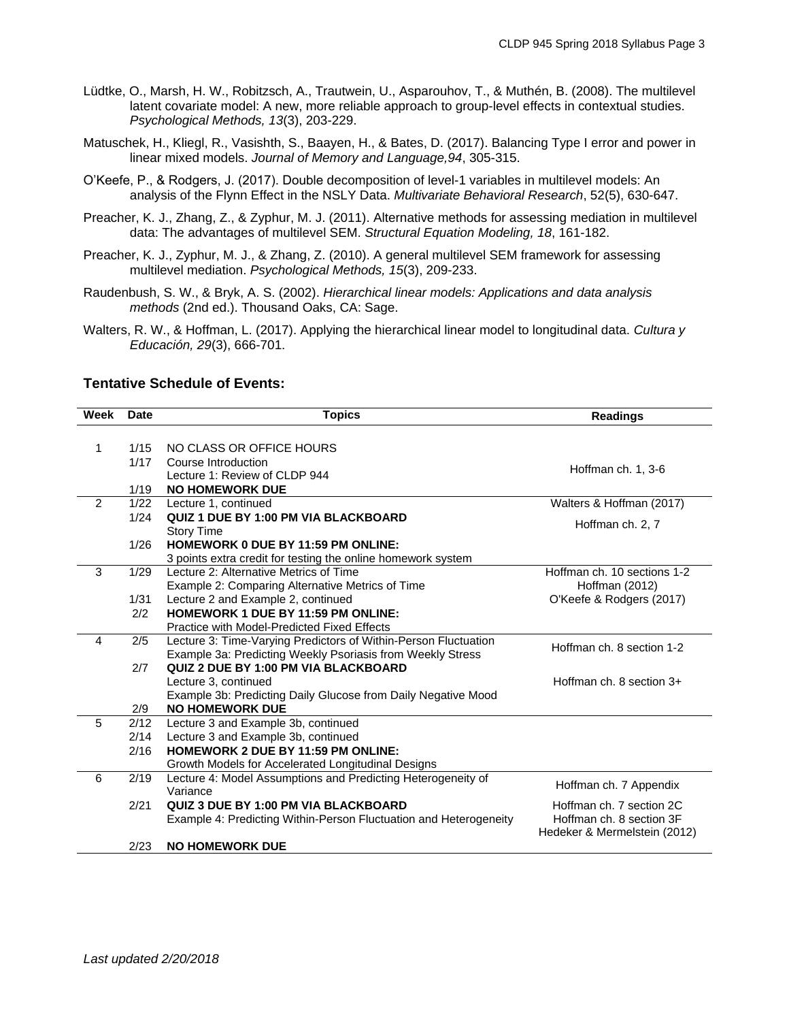- Lüdtke, O., Marsh, H. W., Robitzsch, A., Trautwein, U., Asparouhov, T., & Muthén, B. (2008). The multilevel latent covariate model: A new, more reliable approach to group-level effects in contextual studies. *Psychological Methods, 13*(3), 203-229.
- Matuschek, H., Kliegl, R., Vasishth, S., Baayen, H., & Bates, D. (2017). Balancing Type I error and power in linear mixed models. *Journal of Memory and Language,94*, 305-315.
- O'Keefe, P., & Rodgers, J. (2017). Double decomposition of level-1 variables in multilevel models: An analysis of the Flynn Effect in the NSLY Data. *Multivariate Behavioral Research*, 52(5), 630-647.
- Preacher, K. J., Zhang, Z., & Zyphur, M. J. (2011). Alternative methods for assessing mediation in multilevel data: The advantages of multilevel SEM. *Structural Equation Modeling, 18*, 161-182.
- Preacher, K. J., Zyphur, M. J., & Zhang, Z. (2010). A general multilevel SEM framework for assessing multilevel mediation. *Psychological Methods, 15*(3), 209-233.
- Raudenbush, S. W., & Bryk, A. S. (2002). *Hierarchical linear models: Applications and data analysis methods* (2nd ed.). Thousand Oaks, CA: Sage.
- Walters, R. W., & Hoffman, L. (2017). Applying the hierarchical linear model to longitudinal data. *Cultura y Educación, 29*(3), 666-701.

### **Tentative Schedule of Events:**

| Week           | <b>Date</b> | <b>Topics</b>                                                            | <b>Readings</b>              |
|----------------|-------------|--------------------------------------------------------------------------|------------------------------|
|                |             |                                                                          |                              |
| 1              | 1/15        | NO CLASS OR OFFICE HOURS                                                 |                              |
|                | 1/17        | Course Introduction                                                      | Hoffman ch. 1, 3-6           |
|                |             | Lecture 1: Review of CLDP 944                                            |                              |
|                | 1/19        | <b>NO HOMEWORK DUE</b>                                                   |                              |
| $\overline{2}$ | 1/22        | Lecture 1, continued                                                     | Walters & Hoffman (2017)     |
|                | 1/24        | QUIZ 1 DUE BY 1:00 PM VIA BLACKBOARD                                     | Hoffman ch. 2, 7             |
|                |             | <b>Story Time</b>                                                        |                              |
|                | 1/26        | <b>HOMEWORK 0 DUE BY 11:59 PM ONLINE:</b>                                |                              |
|                |             | 3 points extra credit for testing the online homework system             |                              |
| 3              | 1/29        | Lecture 2: Alternative Metrics of Time                                   | Hoffman ch. 10 sections 1-2  |
|                |             | Example 2: Comparing Alternative Metrics of Time                         | Hoffman (2012)               |
|                | 1/31        | Lecture 2 and Example 2, continued                                       | O'Keefe & Rodgers (2017)     |
|                | 2/2         | <b>HOMEWORK 1 DUE BY 11:59 PM ONLINE:</b>                                |                              |
|                |             | Practice with Model-Predicted Fixed Effects                              |                              |
| 4              | 2/5         | Lecture 3: Time-Varying Predictors of Within-Person Fluctuation          | Hoffman ch. 8 section 1-2    |
|                |             | Example 3a: Predicting Weekly Psoriasis from Weekly Stress               |                              |
|                | 2/7         | QUIZ 2 DUE BY 1:00 PM VIA BLACKBOARD                                     |                              |
|                |             | Lecture 3, continued                                                     | Hoffman ch. 8 section 3+     |
|                |             | Example 3b: Predicting Daily Glucose from Daily Negative Mood            |                              |
|                | 2/9         | <b>NO HOMEWORK DUE</b>                                                   |                              |
| 5              | 2/12        | Lecture 3 and Example 3b, continued                                      |                              |
|                | 2/14        | Lecture 3 and Example 3b, continued                                      |                              |
|                | 2/16        | <b>HOMEWORK 2 DUE BY 11:59 PM ONLINE:</b>                                |                              |
|                | 2/19        | Growth Models for Accelerated Longitudinal Designs                       |                              |
| 6              |             | Lecture 4: Model Assumptions and Predicting Heterogeneity of<br>Variance | Hoffman ch. 7 Appendix       |
|                | 2/21        | QUIZ 3 DUE BY 1:00 PM VIA BLACKBOARD                                     | Hoffman ch. 7 section 2C     |
|                |             |                                                                          | Hoffman ch. 8 section 3F     |
|                |             | Example 4: Predicting Within-Person Fluctuation and Heterogeneity        | Hedeker & Mermelstein (2012) |
|                | 2/23        | <b>NO HOMEWORK DUE</b>                                                   |                              |
|                |             |                                                                          |                              |